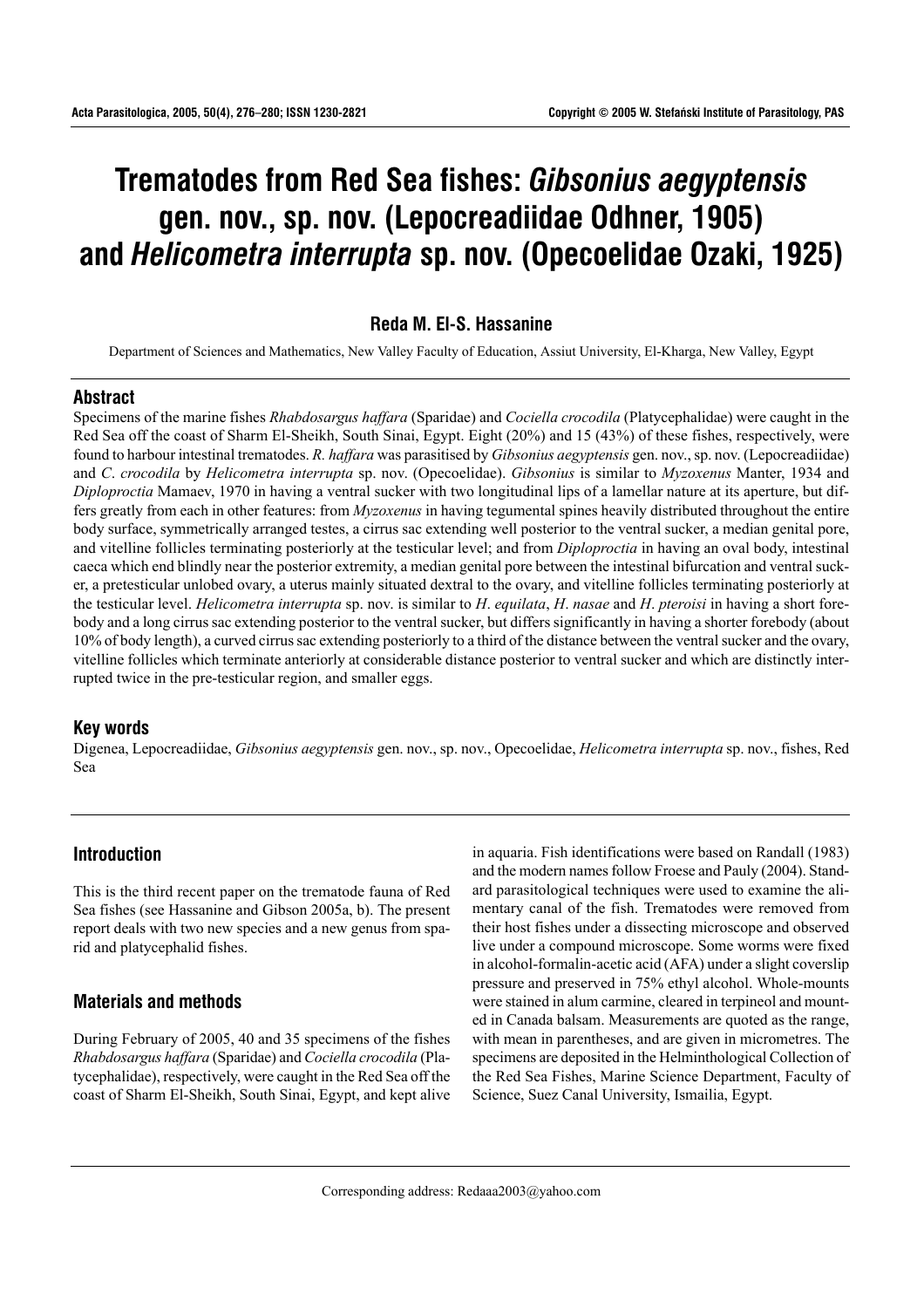# **Trematodes from Red Sea fishes:** *Gibsonius aegyptensis* **gen. nov., sp. nov. (Lepocreadiidae Odhner, 1905) and** *Helicometra interrupta* **sp. nov. (Opecoelidae Ozaki, 1925)**

# **Reda M. El-S. Hassanine**

Department of Sciences and Mathematics, New Valley Faculty of Education, Assiut University, El-Kharga, New Valley, Egypt

## **Abstract**

Specimens of the marine fishes *Rhabdosargus haffara* (Sparidae) and *Cociella crocodila* (Platycephalidae) were caught in the Red Sea off the coast of Sharm El-Sheikh, South Sinai, Egypt. Eight (20%) and 15 (43%) of these fishes, respectively, were found to harbour intestinal trematodes. *R. haffara* was parasitised by *Gibsonius aegyptensis* gen. nov., sp. nov. (Lepocreadiidae) and *C*. *crocodila* by *Helicometra interrupta* sp. nov. (Opecoelidae). *Gibsonius* is similar to *Myzoxenus* Manter, 1934 and *Diploproctia* Mamaev, 1970 in having a ventral sucker with two longitudinal lips of a lamellar nature at its aperture, but differs greatly from each in other features: from *Myzoxenus* in having tegumental spines heavily distributed throughout the entire body surface, symmetrically arranged testes, a cirrus sac extending well posterior to the ventral sucker, a median genital pore, and vitelline follicles terminating posteriorly at the testicular level; and from *Diploproctia* in having an oval body, intestinal caeca which end blindly near the posterior extremity, a median genital pore between the intestinal bifurcation and ventral sucker, a pretesticular unlobed ovary, a uterus mainly situated dextral to the ovary, and vitelline follicles terminating posteriorly at the testicular level. *Helicometra interrupta* sp. nov. is similar to *H*. *equilata*, *H*. *nasae* and *H*. *pteroisi* in having a short forebody and a long cirrus sac extending posterior to the ventral sucker, but differs significantly in having a shorter forebody (about 10% of body length), a curved cirrus sac extending posteriorly to a third of the distance between the ventral sucker and the ovary, vitelline follicles which terminate anteriorly at considerable distance posterior to ventral sucker and which are distinctly interrupted twice in the pre-testicular region, and smaller eggs.

## **Key words**

Digenea, Lepocreadiidae, *Gibsonius aegyptensis* gen. nov., sp. nov., Opecoelidae, *Helicometra interrupta* sp. nov., fishes, Red Sea

## **Introduction**

This is the third recent paper on the trematode fauna of Red Sea fishes (see Hassanine and Gibson 2005a, b). The present report deals with two new species and a new genus from sparid and platycephalid fishes.

# **Materials and methods**

During February of 2005, 40 and 35 specimens of the fishes *Rhabdosargus haffara* (Sparidae) and *Cociella crocodila* (Platycephalidae), respectively, were caught in the Red Sea off the coast of Sharm El-Sheikh, South Sinai, Egypt, and kept alive in aquaria. Fish identifications were based on Randall (1983) and the modern names follow Froese and Pauly (2004). Standard parasitological techniques were used to examine the alimentary canal of the fish. Trematodes were removed from their host fishes under a dissecting microscope and observed live under a compound microscope. Some worms were fixed in alcohol-formalin-acetic acid (AFA) under a slight coverslip pressure and preserved in 75% ethyl alcohol. Whole-mounts were stained in alum carmine, cleared in terpineol and mounted in Canada balsam. Measurements are quoted as the range, with mean in parentheses, and are given in micrometres. The specimens are deposited in the Helminthological Collection of the Red Sea Fishes, Marine Science Department, Faculty of Science, Suez Canal University, Ismailia, Egypt.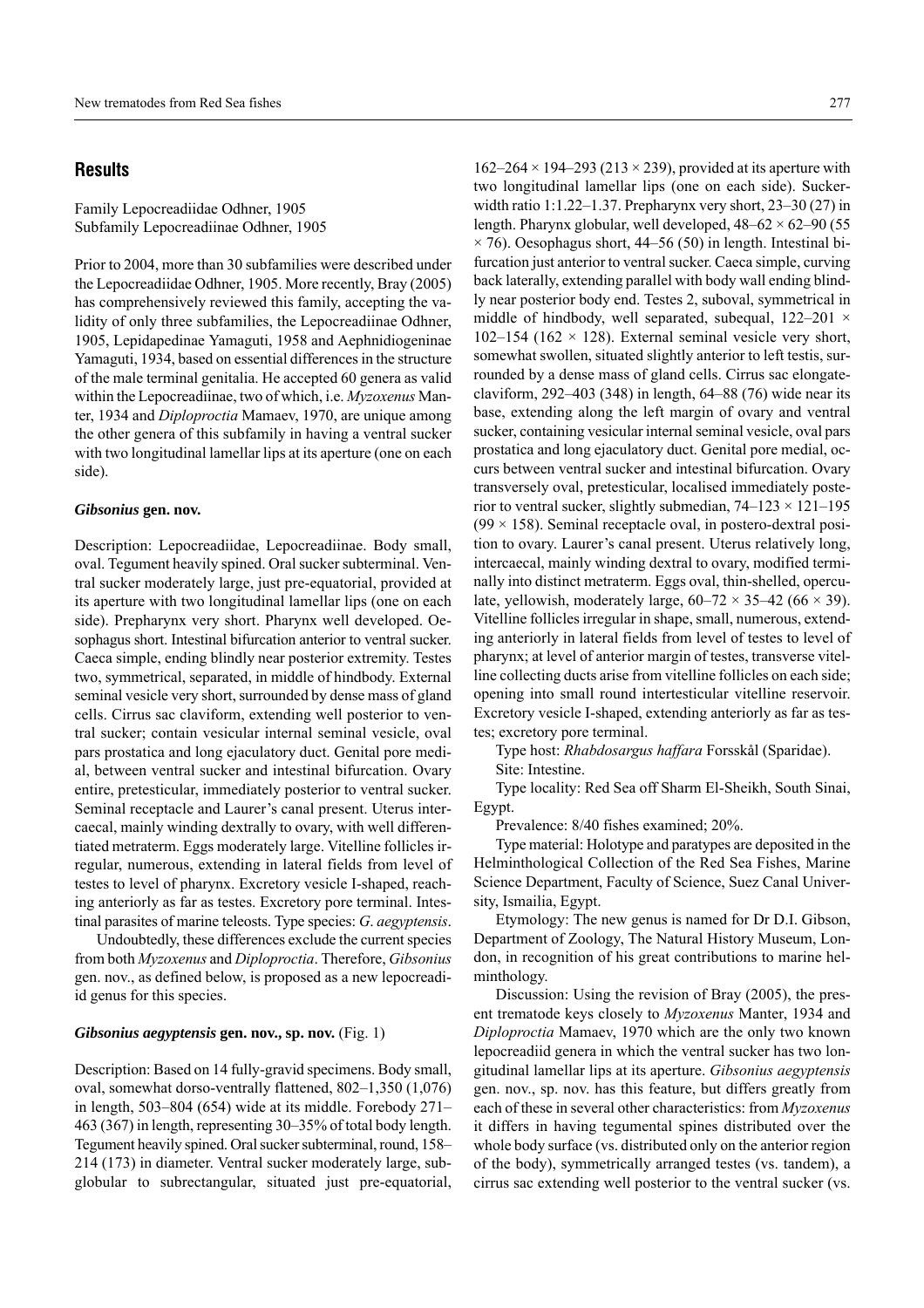### **Results**

Family Lepocreadiidae Odhner, 1905 Subfamily Lepocreadiinae Odhner, 1905

Prior to 2004, more than 30 subfamilies were described under the Lepocreadiidae Odhner, 1905. More recently, Bray (2005) has comprehensively reviewed this family, accepting the validity of only three subfamilies, the Lepocreadiinae Odhner, 1905, Lepidapedinae Yamaguti, 1958 and Aephnidiogeninae Yamaguti, 1934, based on essential differences in the structure of the male terminal genitalia. He accepted 60 genera as valid within the Lepocreadiinae, two of which, i.e. *Myzoxenus* Manter, 1934 and *Diploproctia* Mamaev, 1970, are unique among the other genera of this subfamily in having a ventral sucker with two longitudinal lamellar lips at its aperture (one on each side).

#### *Gibsonius* **gen. nov.**

Description: Lepocreadiidae, Lepocreadiinae. Body small, oval. Tegument heavily spined. Oral sucker subterminal. Ventral sucker moderately large, just pre-equatorial, provided at its aperture with two longitudinal lamellar lips (one on each side). Prepharynx very short. Pharynx well developed. Oesophagus short. Intestinal bifurcation anterior to ventral sucker. Caeca simple, ending blindly near posterior extremity. Testes two, symmetrical, separated, in middle of hindbody. External seminal vesicle very short, surrounded by dense mass of gland cells. Cirrus sac claviform, extending well posterior to ventral sucker; contain vesicular internal seminal vesicle, oval pars prostatica and long ejaculatory duct. Genital pore medial, between ventral sucker and intestinal bifurcation. Ovary entire, pretesticular, immediately posterior to ventral sucker. Seminal receptacle and Laurer's canal present. Uterus intercaecal, mainly winding dextrally to ovary, with well differentiated metraterm. Eggs moderately large. Vitelline follicles irregular, numerous, extending in lateral fields from level of testes to level of pharynx. Excretory vesicle I-shaped, reaching anteriorly as far as testes. Excretory pore terminal. Intestinal parasites of marine teleosts. Type species: *G*. *aegyptensis*.

Undoubtedly, these differences exclude the current species from both *Myzoxenus* and *Diploproctia*. Therefore, *Gibsonius* gen. nov., as defined below, is proposed as a new lepocreadiid genus for this species.

#### *Gibsonius aegyptensis* **gen. nov., sp. nov.** (Fig. 1)

Description: Based on 14 fully-gravid specimens. Body small, oval, somewhat dorso-ventrally flattened,  $802-1,350$  (1,076) in length, 503–804 (654) wide at its middle. Forebody  $271-$ 463 (367) in length, representing  $30-35%$  of total body length. Tegument heavily spined. Oral sucker subterminal, round, 158– 214 (173) in diameter. Ventral sucker moderately large, subglobular to subrectangular, situated just pre-equatorial,

 $162-264 \times 194-293$  (213  $\times$  239), provided at its aperture with two longitudinal lamellar lips (one on each side). Suckerwidth ratio 1:1.22–1.37. Prepharynx very short,  $23-30(27)$  in length. Pharynx globular, well developed,  $48-62 \times 62-90$  (55  $\times$  76). Oesophagus short, 44–56 (50) in length. Intestinal bifurcation just anterior to ventral sucker. Caeca simple, curving back laterally, extending parallel with body wall ending blindly near posterior body end. Testes 2, suboval, symmetrical in middle of hindbody, well separated, subequal,  $122-201 \times$ 102–154 (162  $\times$  128). External seminal vesicle very short, somewhat swollen, situated slightly anterior to left testis, surrounded by a dense mass of gland cells. Cirrus sac elongateclaviform,  $292-403$  (348) in length, 64–88 (76) wide near its base, extending along the left margin of ovary and ventral sucker, containing vesicular internal seminal vesicle, oval pars prostatica and long ejaculatory duct. Genital pore medial, occurs between ventral sucker and intestinal bifurcation. Ovary transversely oval, pretesticular, localised immediately posterior to ventral sucker, slightly submedian,  $74-123 \times 121-195$  $(99 \times 158)$ . Seminal receptacle oval, in postero-dextral position to ovary. Laurer's canal present. Uterus relatively long, intercaecal, mainly winding dextral to ovary, modified terminally into distinct metraterm. Eggs oval, thin-shelled, operculate, yellowish, moderately large,  $60-72 \times 35-42$  (66  $\times$  39). Vitelline follicles irregular in shape, small, numerous, extending anteriorly in lateral fields from level of testes to level of pharynx; at level of anterior margin of testes, transverse vitelline collecting ducts arise from vitelline follicles on each side; opening into small round intertesticular vitelline reservoir. Excretory vesicle I-shaped, extending anteriorly as far as testes; excretory pore terminal.

Type host: *Rhabdosargus haffara* Forsskål (Sparidae). Site: Intestine.

Type locality: Red Sea off Sharm El-Sheikh, South Sinai, Egypt.

Prevalence: 8/40 fishes examined; 20%.

Type material: Holotype and paratypes are deposited in the Helminthological Collection of the Red Sea Fishes, Marine Science Department, Faculty of Science, Suez Canal University, Ismailia, Egypt.

Etymology: The new genus is named for Dr D.I. Gibson, Department of Zoology, The Natural History Museum, London, in recognition of his great contributions to marine helminthology.

Discussion: Using the revision of Bray (2005), the present trematode keys closely to *Myzoxenus* Manter, 1934 and *Diploproctia* Mamaev, 1970 which are the only two known lepocreadiid genera in which the ventral sucker has two longitudinal lamellar lips at its aperture. *Gibsonius aegyptensis* gen. nov., sp. nov. has this feature, but differs greatly from each of these in several other characteristics: from *Myzoxenus* it differs in having tegumental spines distributed over the whole body surface (vs. distributed only on the anterior region of the body), symmetrically arranged testes (vs. tandem), a cirrus sac extending well posterior to the ventral sucker (vs.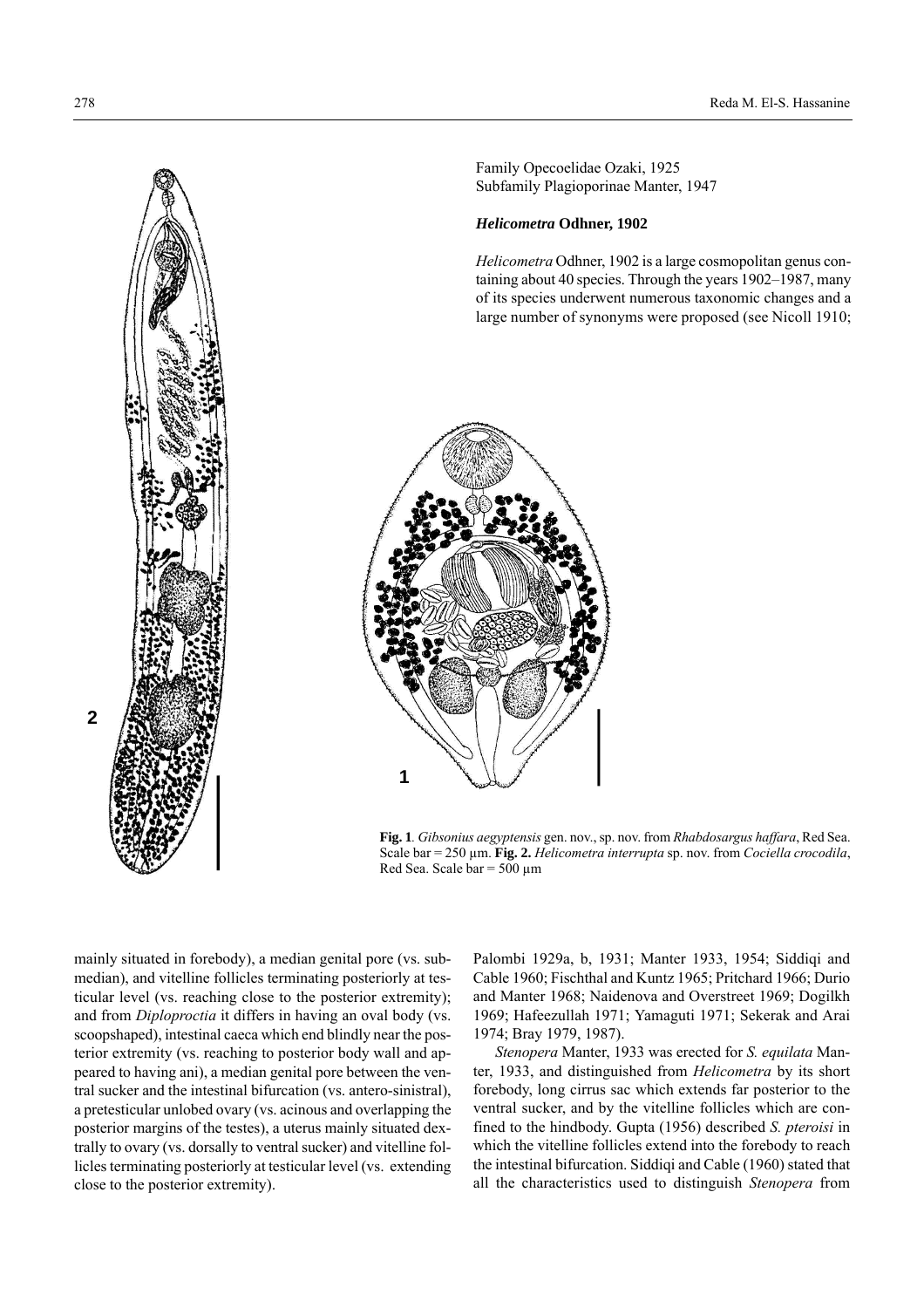

Family Opecoelidae Ozaki, 1925 Subfamily Plagioporinae Manter, 1947

#### *Helicometra* **Odhner, 1902**

*Helicometra* Odhner, 1902 is a large cosmopolitan genus containing about 40 species. Through the years 1902–1987, many of its species underwent numerous taxonomic changes and a large number of synonyms were proposed (see Nicoll 1910;



**Fig. 1***. Gibsonius aegyptensis* gen. nov., sp. nov. from *Rhabdosargus haffara*, Red Sea. Scale bar = 250 µm. **Fig. 2.** *Helicometra interrupta* sp. nov. from *Cociella crocodila*, Red Sea. Scale bar =  $500 \mu m$ 

mainly situated in forebody), a median genital pore (vs. submedian), and vitelline follicles terminating posteriorly at testicular level (vs. reaching close to the posterior extremity); and from *Diploproctia* it differs in having an oval body (vs. scoopshaped), intestinal caeca which end blindly near the posterior extremity (vs. reaching to posterior body wall and appeared to having ani), a median genital pore between the ventral sucker and the intestinal bifurcation (vs. antero-sinistral), a pretesticular unlobed ovary (vs. acinous and overlapping the posterior margins of the testes), a uterus mainly situated dextrally to ovary (vs. dorsally to ventral sucker) and vitelline follicles terminating posteriorly at testicular level (vs. extending close to the posterior extremity).

Palombi 1929a, b, 1931; Manter 1933, 1954; Siddiqi and Cable 1960; Fischthal and Kuntz 1965; Pritchard 1966; Durio and Manter 1968; Naidenova and Overstreet 1969; Dogilkh 1969; Hafeezullah 1971; Yamaguti 1971; Sekerak and Arai 1974; Bray 1979, 1987).

*Stenopera* Manter, 1933 was erected for *S. equilata* Manter, 1933, and distinguished from *Helicometra* by its short forebody, long cirrus sac which extends far posterior to the ventral sucker, and by the vitelline follicles which are confined to the hindbody. Gupta (1956) described *S. pteroisi* in which the vitelline follicles extend into the forebody to reach the intestinal bifurcation. Siddiqi and Cable (1960) stated that all the characteristics used to distinguish *Stenopera* from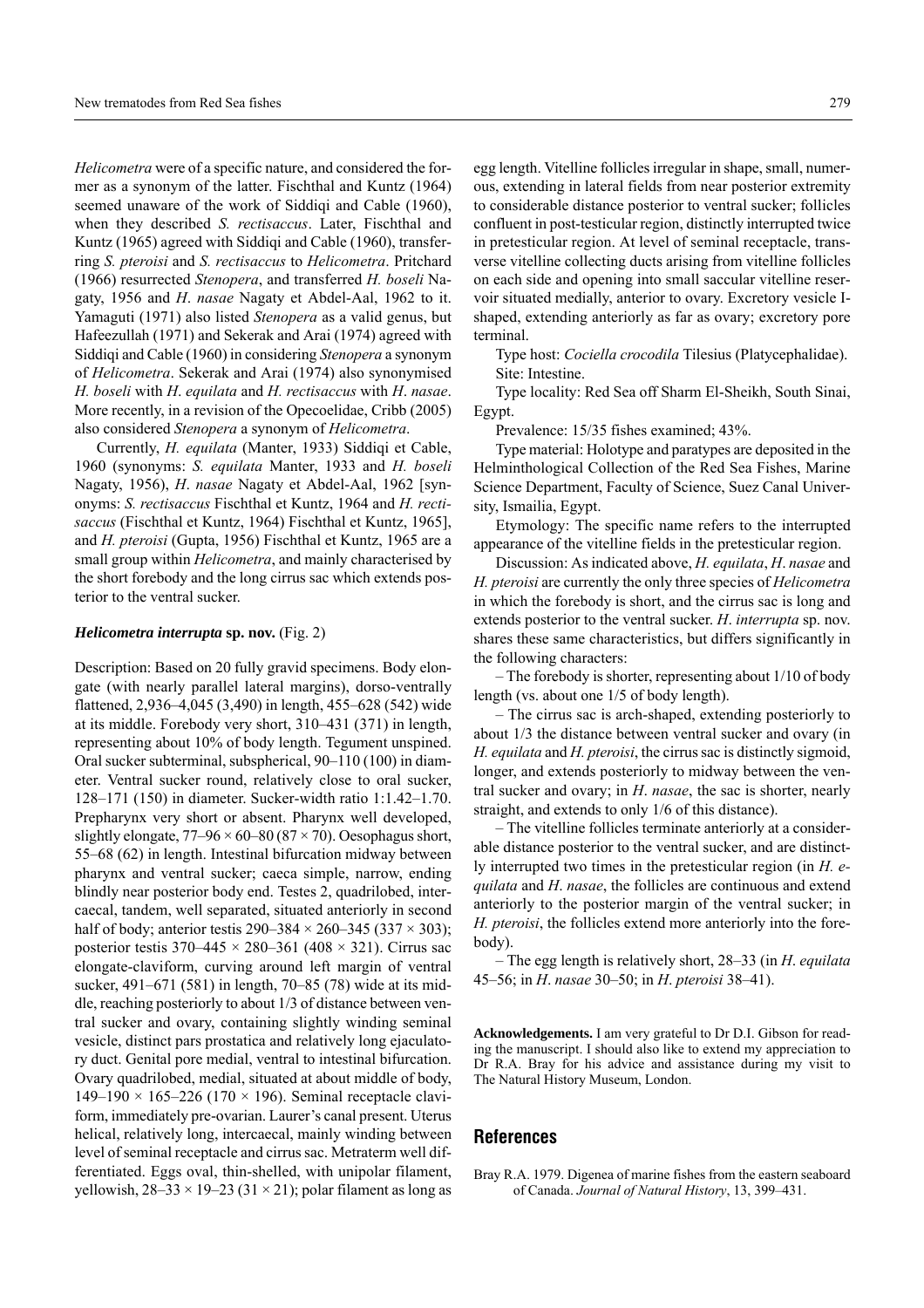*Helicometra* were of a specific nature, and considered the former as a synonym of the latter. Fischthal and Kuntz (1964) seemed unaware of the work of Siddiqi and Cable (1960), when they described *S. rectisaccus*. Later, Fischthal and Kuntz (1965) agreed with Siddiqi and Cable (1960), transferring *S. pteroisi* and *S. rectisaccus* to *Helicometra*. Pritchard (1966) resurrected *Stenopera*, and transferred *H. boseli* Nagaty, 1956 and *H*. *nasae* Nagaty et Abdel-Aal, 1962 to it. Yamaguti (1971) also listed *Stenopera* as a valid genus, but Hafeezullah (1971) and Sekerak and Arai (1974) agreed with Siddiqi and Cable (1960) in considering *Stenopera* a synonym of *Helicometra*. Sekerak and Arai (1974) also synonymised *H. boseli* with *H*. *equilata* and *H. rectisaccus* with *H*. *nasae*. More recently, in a revision of the Opecoelidae, Cribb (2005) also considered *Stenopera* a synonym of *Helicometra*.

Currently, *H. equilata* (Manter, 1933) Siddiqi et Cable, 1960 (synonyms: *S. equilata* Manter, 1933 and *H. boseli* Nagaty, 1956), *H*. *nasae* Nagaty et Abdel-Aal, 1962 [synonyms: *S. rectisaccus* Fischthal et Kuntz, 1964 and *H. rectisaccus* (Fischthal et Kuntz, 1964) Fischthal et Kuntz, 1965], and *H. pteroisi* (Gupta, 1956) Fischthal et Kuntz, 1965 are a small group within *Helicometra*, and mainly characterised by the short forebody and the long cirrus sac which extends posterior to the ventral sucker.

#### *Helicometra interrupta* **sp. nov.** (Fig. 2)

Description: Based on 20 fully gravid specimens. Body elongate (with nearly parallel lateral margins), dorso-ventrally flattened,  $2,936-4,045$  (3,490) in length, 455–628 (542) wide at its middle. Forebody very short,  $310-431$  (371) in length, representing about 10% of body length. Tegument unspined. Oral sucker subterminal, subspherical,  $90-110(100)$  in diameter. Ventral sucker round, relatively close to oral sucker, 128–171 (150) in diameter. Sucker-width ratio 1:1.42–1.70. Prepharynx very short or absent. Pharynx well developed, slightly elongate,  $77–96 \times 60–80 (87 \times 70)$ . Oesophagus short,  $55-68$  (62) in length. Intestinal bifurcation midway between pharynx and ventral sucker; caeca simple, narrow, ending blindly near posterior body end. Testes 2, quadrilobed, intercaecal, tandem, well separated, situated anteriorly in second half of body; anterior testis  $290-384 \times 260-345$  (337  $\times$  303); posterior testis  $370-445 \times 280-361$  (408  $\times$  321). Cirrus sac elongate-claviform, curving around left margin of ventral sucker,  $491-671$  (581) in length, 70–85 (78) wide at its middle, reaching posteriorly to about 1/3 of distance between ventral sucker and ovary, containing slightly winding seminal vesicle, distinct pars prostatica and relatively long ejaculatory duct. Genital pore medial, ventral to intestinal bifurcation. Ovary quadrilobed, medial, situated at about middle of body, 149–190  $\times$  165–226 (170  $\times$  196). Seminal receptacle claviform, immediately pre-ovarian. Laurer's canal present. Uterus helical, relatively long, intercaecal, mainly winding between level of seminal receptacle and cirrus sac. Metraterm well differentiated. Eggs oval, thin-shelled, with unipolar filament, yellowish,  $28-33 \times 19-23$  (31 × 21); polar filament as long as egg length. Vitelline follicles irregular in shape, small, numerous, extending in lateral fields from near posterior extremity to considerable distance posterior to ventral sucker; follicles confluent in post-testicular region, distinctly interrupted twice in pretesticular region. At level of seminal receptacle, transverse vitelline collecting ducts arising from vitelline follicles on each side and opening into small saccular vitelline reservoir situated medially, anterior to ovary. Excretory vesicle Ishaped, extending anteriorly as far as ovary; excretory pore terminal.

Type host: *Cociella crocodila* Tilesius (Platycephalidae). Site: Intestine.

Type locality: Red Sea off Sharm El-Sheikh, South Sinai, Egypt.

Prevalence: 15/35 fishes examined; 43%.

Type material: Holotype and paratypes are deposited in the Helminthological Collection of the Red Sea Fishes, Marine Science Department, Faculty of Science, Suez Canal University, Ismailia, Egypt.

Etymology: The specific name refers to the interrupted appearance of the vitelline fields in the pretesticular region.

Discussion: As indicated above, *H. equilata*, *H*. *nasae* and *H. pteroisi* are currently the only three species of *Helicometra* in which the forebody is short, and the cirrus sac is long and extends posterior to the ventral sucker. *H*. *interrupta* sp. nov. shares these same characteristics, but differs significantly in the following characters:

 $-$  The forebody is shorter, representing about  $1/10$  of body length (vs. about one 1/5 of body length).

– The cirrus sac is arch-shaped, extending posteriorly to about 1/3 the distance between ventral sucker and ovary (in *H. equilata* and *H. pteroisi*, the cirrus sac is distinctly sigmoid, longer, and extends posteriorly to midway between the ventral sucker and ovary; in *H*. *nasae*, the sac is shorter, nearly straight, and extends to only 1/6 of this distance).

– The vitelline follicles terminate anteriorly at a considerable distance posterior to the ventral sucker, and are distinctly interrupted two times in the pretesticular region (in *H. equilata* and *H*. *nasae*, the follicles are continuous and extend anteriorly to the posterior margin of the ventral sucker; in *H. pteroisi*, the follicles extend more anteriorly into the forebody).

 $-$  The egg length is relatively short, 28–33 (in *H. equilata* 45–56; in *H. nasae* 30–50; in *H. pteroisi* 38–41).

**Acknowledgements.** I am very grateful to Dr D.I. Gibson for reading the manuscript. I should also like to extend my appreciation to Dr R.A. Bray for his advice and assistance during my visit to The Natural History Museum, London.

#### **References**

Bray R.A. 1979. Digenea of marine fishes from the eastern seaboard of Canada. *Journal of Natural History*, 13, 399-431.